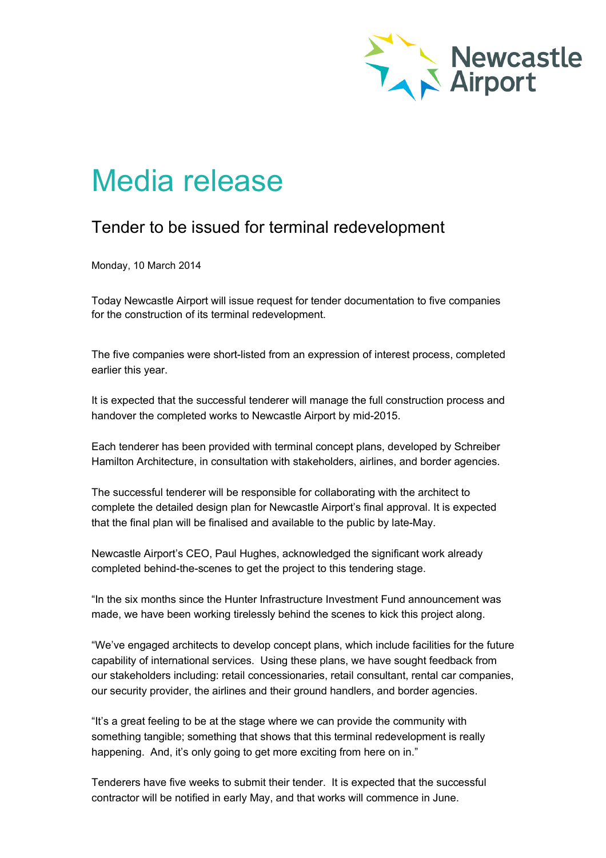

## Media release

## Tender to be issued for terminal redevelopment

Monday, 10 March 2014

Today Newcastle Airport will issue request for tender documentation to five companies for the construction of its terminal redevelopment.

The five companies were short-listed from an expression of interest process, completed earlier this year.

It is expected that the successful tenderer will manage the full construction process and handover the completed works to Newcastle Airport by mid-2015.

Each tenderer has been provided with terminal concept plans, developed by Schreiber Hamilton Architecture, in consultation with stakeholders, airlines, and border agencies.

The successful tenderer will be responsible for collaborating with the architect to complete the detailed design plan for Newcastle Airport's final approval. It is expected that the final plan will be finalised and available to the public by late-May.

Newcastle Airport's CEO, Paul Hughes, acknowledged the significant work already completed behind-the-scenes to get the project to this tendering stage.

"In the six months since the Hunter Infrastructure Investment Fund announcement was made, we have been working tirelessly behind the scenes to kick this project along.

"We've engaged architects to develop concept plans, which include facilities for the future capability of international services. Using these plans, we have sought feedback from our stakeholders including: retail concessionaries, retail consultant, rental car companies, our security provider, the airlines and their ground handlers, and border agencies.

"It's a great feeling to be at the stage where we can provide the community with something tangible; something that shows that this terminal redevelopment is really happening. And, it's only going to get more exciting from here on in."

Tenderers have five weeks to submit their tender. It is expected that the successful contractor will be notified in early May, and that works will commence in June.